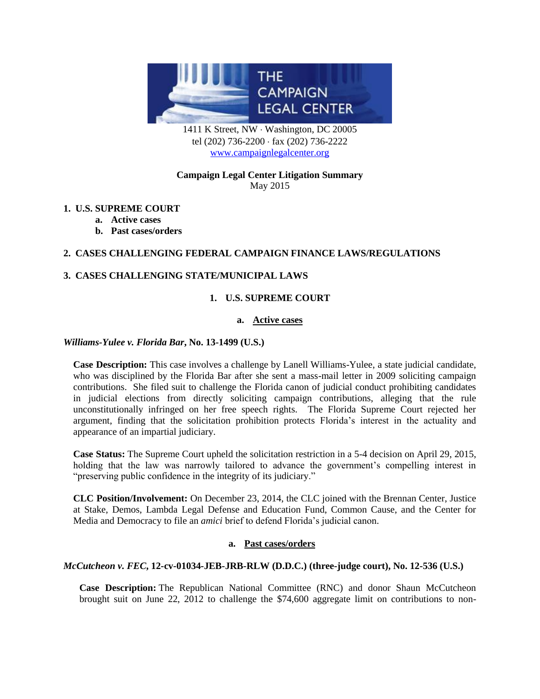

1411 K Street, NW · Washington, DC 20005 tel (202) 736-2200 · fax (202) 736-2222 [www.campaignlegalcenter.org](http://www.campaignlegalcenter.org/)

## **Campaign Legal Center Litigation Summary** May 2015

# **1. [U.S. SUPREME COURT](#page-0-0)**

- **a. [Active](#page-0-1) cases**
- **b. [Past cases/orders](#page-0-2)**

# **2. CASES CHALLENGING [FEDERAL CAMPAIGN FINANCE LAWS/REGULATIONS](#page-1-0)**

# <span id="page-0-1"></span><span id="page-0-0"></span>**3. CASES CHALLENGING [STATE/MUNICIPAL LAWS](#page-4-0)**

# **1. U.S. SUPREME COURT**

## **a. [Active](#page-0-1) cases**

#### *Williams-Yulee v. Florida Bar***, No. 13-1499 (U.S.)**

**Case Description:** This case involves a challenge by Lanell Williams-Yulee, a state judicial candidate, who was disciplined by the Florida Bar after she sent a mass-mail letter in 2009 soliciting campaign contributions. She filed suit to challenge the Florida canon of judicial conduct prohibiting candidates in judicial elections from directly soliciting campaign contributions, alleging that the rule unconstitutionally infringed on her free speech rights. The Florida Supreme Court rejected her argument, finding that the solicitation prohibition protects Florida's interest in the actuality and appearance of an impartial judiciary.

**Case Status:** The Supreme Court upheld the solicitation restriction in a 5-4 decision on April 29, 2015, holding that the law was narrowly tailored to advance the government's compelling interest in "preserving public confidence in the integrity of its judiciary."

**CLC Position/Involvement:** On December 23, 2014, the CLC joined with the Brennan Center, Justice at Stake, Demos, Lambda Legal Defense and Education Fund, Common Cause, and the Center for Media and Democracy to file an *amici* brief to defend Florida's judicial canon.

# **a. Past cases/orders**

## <span id="page-0-2"></span>*McCutcheon v. FEC***, 12-cv-01034-JEB-JRB-RLW (D.D.C.) (three-judge court), No. 12-536 (U.S.)**

**Case Description:** The Republican National Committee (RNC) and donor Shaun McCutcheon brought suit on June 22, 2012 to challenge the \$74,600 aggregate limit on contributions to non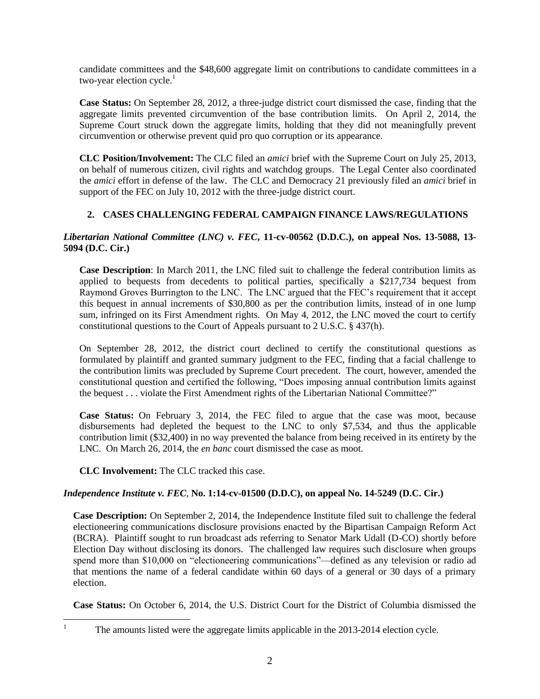candidate committees and the \$48,600 aggregate limit on contributions to candidate committees in a two-year election cycle. $<sup>1</sup>$ </sup>

**Case Status:** On September 28, 2012, a three-judge district court dismissed the case, finding that the aggregate limits prevented circumvention of the base contribution limits. On April 2, 2014, the Supreme Court struck down the aggregate limits, holding that they did not meaningfully prevent circumvention or otherwise prevent quid pro quo corruption or its appearance.

**CLC Position/Involvement:** The CLC filed an *amici* brief with the Supreme Court on July 25, 2013, on behalf of numerous citizen, civil rights and watchdog groups. The Legal Center also coordinated the *amici* effort in defense of the law. The CLC and Democracy 21 previously filed an *amici* brief in support of the FEC on July 10, 2012 with the three-judge district court.

# **2. CASES CHALLENGING FEDERAL CAMPAIGN FINANCE LAWS/REGULATIONS**

# <span id="page-1-0"></span>*Libertarian National Committee (LNC) v. FEC***, 11-cv-00562 (D.D.C.), on appeal Nos. 13-5088, 13- 5094 (D.C. Cir.)**

**Case Description**: In March 2011, the LNC filed suit to challenge the federal contribution limits as applied to bequests from decedents to political parties, specifically a \$217,734 bequest from Raymond Groves Burrington to the LNC. The LNC argued that the FEC's requirement that it accept this bequest in annual increments of \$30,800 as per the contribution limits, instead of in one lump sum, infringed on its First Amendment rights. On May 4, 2012, the LNC moved the court to certify constitutional questions to the Court of Appeals pursuant to 2 U.S.C. § 437(h).

On September 28, 2012, the district court declined to certify the constitutional questions as formulated by plaintiff and granted summary judgment to the FEC, finding that a facial challenge to the contribution limits was precluded by Supreme Court precedent. The court, however, amended the constitutional question and certified the following, "Does imposing annual contribution limits against the bequest . . . violate the First Amendment rights of the Libertarian National Committee?"

**Case Status:** On February 3, 2014, the FEC filed to argue that the case was moot, because disbursements had depleted the bequest to the LNC to only \$7,534, and thus the applicable contribution limit (\$32,400) in no way prevented the balance from being received in its entirety by the LNC. On March 26, 2014, the *en banc* court dismissed the case as moot.

**CLC Involvement:** The CLC tracked this case.

# *Independence Institute v. FEC*, **No. 1:14-cv-01500 (D.D.C), on appeal No. 14-5249 (D.C. Cir.)**

**Case Description:** On September 2, 2014, the Independence Institute filed suit to challenge the federal electioneering communications disclosure provisions enacted by the Bipartisan Campaign Reform Act (BCRA). Plaintiff sought to run broadcast ads referring to Senator Mark Udall (D-CO) shortly before Election Day without disclosing its donors. The challenged law requires such disclosure when groups spend more than \$10,000 on "electioneering communications"—defined as any television or radio ad that mentions the name of a federal candidate within 60 days of a general or 30 days of a primary election.

**Case Status:** On October 6, 2014, the U.S. District Court for the District of Columbia dismissed the

 $\,1$ 

<sup>1</sup> The amounts listed were the aggregate limits applicable in the 2013-2014 election cycle.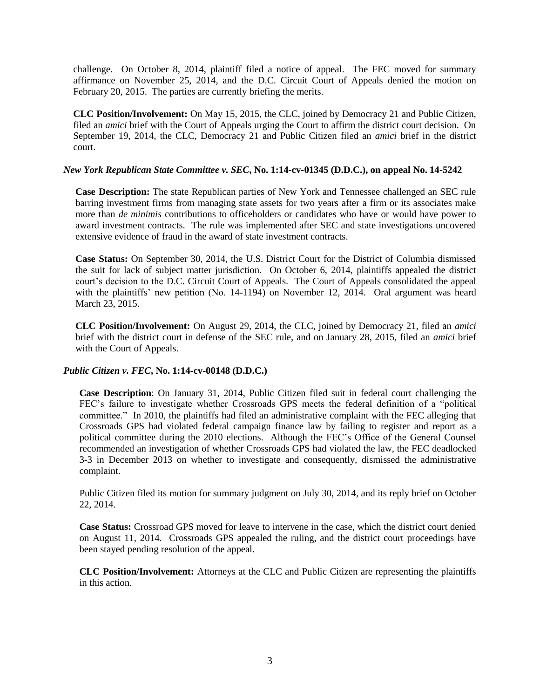challenge. On October 8, 2014, plaintiff filed a notice of appeal. The FEC moved for summary affirmance on November 25, 2014, and the D.C. Circuit Court of Appeals denied the motion on February 20, 2015. The parties are currently briefing the merits.

**CLC Position/Involvement:** On May 15, 2015, the CLC, joined by Democracy 21 and Public Citizen, filed an *amici* brief with the Court of Appeals urging the Court to affirm the district court decision. On September 19, 2014, the CLC, Democracy 21 and Public Citizen filed an *amici* brief in the district court.

## *New York Republican State Committee v. SEC***, No. 1:14-cv-01345 (D.D.C.), on appeal No. 14-5242**

**Case Description:** The state Republican parties of New York and Tennessee challenged an SEC rule barring investment firms from managing state assets for two years after a firm or its associates make more than *de minimis* contributions to officeholders or candidates who have or would have power to award investment contracts. The rule was implemented after SEC and state investigations uncovered extensive evidence of fraud in the award of state investment contracts.

**Case Status:** On September 30, 2014, the U.S. District Court for the District of Columbia dismissed the suit for lack of subject matter jurisdiction. On October 6, 2014, plaintiffs appealed the district court's decision to the D.C. Circuit Court of Appeals. The Court of Appeals consolidated the appeal with the plaintiffs' new petition (No. 14-1194) on November 12, 2014. Oral argument was heard March 23, 2015.

**CLC Position/Involvement:** On August 29, 2014, the CLC, joined by Democracy 21, filed an *amici* brief with the district court in defense of the SEC rule, and on January 28, 2015, filed an *amici* brief with the Court of Appeals.

## *Public Citizen v. FEC***, No. 1:14-cv-00148 (D.D.C.)**

**Case Description**: On January 31, 2014, Public Citizen filed suit in federal court challenging the FEC's failure to investigate whether Crossroads GPS meets the federal definition of a "political committee." In 2010, the plaintiffs had filed an administrative complaint with the FEC alleging that Crossroads GPS had violated federal campaign finance law by failing to register and report as a political committee during the 2010 elections. Although the FEC's Office of the General Counsel recommended an investigation of whether Crossroads GPS had violated the law, the FEC deadlocked 3-3 in December 2013 on whether to investigate and consequently, dismissed the administrative complaint.

Public Citizen filed its motion for summary judgment on July 30, 2014, and its reply brief on October 22, 2014.

**Case Status:** Crossroad GPS moved for leave to intervene in the case, which the district court denied on August 11, 2014. Crossroads GPS appealed the ruling, and the district court proceedings have been stayed pending resolution of the appeal.

**CLC Position/Involvement:** Attorneys at the CLC and Public Citizen are representing the plaintiffs in this action.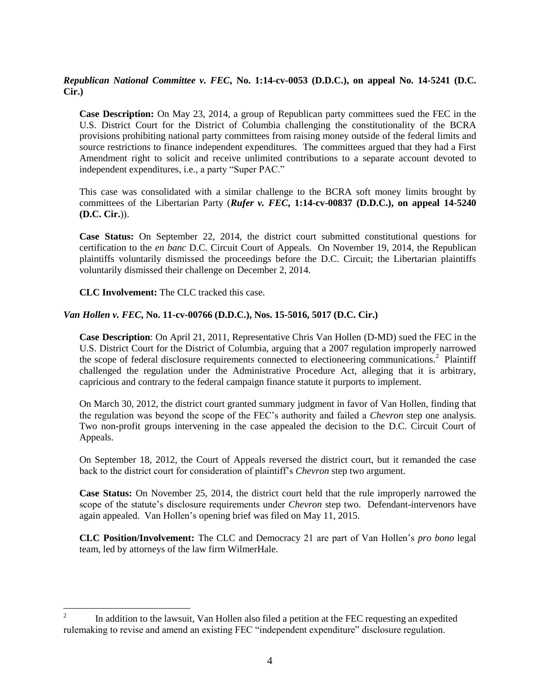*Republican National Committee v. FEC***, No. 1:14-cv-0053 (D.D.C.), on appeal No. 14-5241 (D.C. Cir.)**

**Case Description:** On May 23, 2014, a group of Republican party committees sued the FEC in the U.S. District Court for the District of Columbia challenging the constitutionality of the BCRA provisions prohibiting national party committees from raising money outside of the federal limits and source restrictions to finance independent expenditures. The committees argued that they had a First Amendment right to solicit and receive unlimited contributions to a separate account devoted to independent expenditures, i.e., a party "Super PAC."

This case was consolidated with a similar challenge to the BCRA soft money limits brought by committees of the Libertarian Party (*Rufer v. FEC***, 1:14-cv-00837 (D.D.C.), on appeal 14-5240 (D.C. Cir.**)).

**Case Status:** On September 22, 2014, the district court submitted constitutional questions for certification to the *en banc* D.C. Circuit Court of Appeals. On November 19, 2014, the Republican plaintiffs voluntarily dismissed the proceedings before the D.C. Circuit; the Libertarian plaintiffs voluntarily dismissed their challenge on December 2, 2014.

**CLC Involvement:** The CLC tracked this case.

#### *Van Hollen v. FEC***, No. 11-cv-00766 (D.D.C.), Nos. 15-5016, 5017 (D.C. Cir.)**

**Case Description**: On April 21, 2011, Representative Chris Van Hollen (D-MD) sued the FEC in the U.S. District Court for the District of Columbia, arguing that a 2007 regulation improperly narrowed the scope of federal disclosure requirements connected to electioneering communications.<sup>2</sup> Plaintiff challenged the regulation under the Administrative Procedure Act, alleging that it is arbitrary, capricious and contrary to the federal campaign finance statute it purports to implement.

On March 30, 2012, the district court granted summary judgment in favor of Van Hollen, finding that the regulation was beyond the scope of the FEC's authority and failed a *Chevron* step one analysis. Two non-profit groups intervening in the case appealed the decision to the D.C. Circuit Court of Appeals.

On September 18, 2012, the Court of Appeals reversed the district court, but it remanded the case back to the district court for consideration of plaintiff's *Chevron* step two argument.

**Case Status:** On November 25, 2014, the district court held that the rule improperly narrowed the scope of the statute's disclosure requirements under *Chevron* step two. Defendant-intervenors have again appealed. Van Hollen's opening brief was filed on May 11, 2015.

**CLC Position/Involvement:** The CLC and Democracy 21 are part of Van Hollen's *pro bono* legal team, led by attorneys of the law firm WilmerHale.

 $\frac{1}{2}$ In addition to the lawsuit, Van Hollen also filed a petition at the FEC requesting an expedited rulemaking to revise and amend an existing FEC "independent expenditure" disclosure regulation.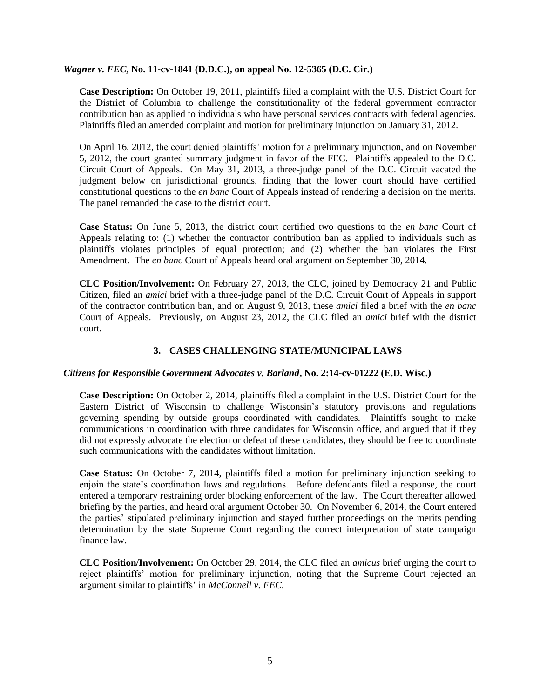#### *Wagner v. FEC***, No. 11-cv-1841 (D.D.C.), on appeal No. 12-5365 (D.C. Cir.)**

**Case Description:** On October 19, 2011, plaintiffs filed a complaint with the U.S. District Court for the District of Columbia to challenge the constitutionality of the federal government contractor contribution ban as applied to individuals who have personal services contracts with federal agencies. Plaintiffs filed an amended complaint and motion for preliminary injunction on January 31, 2012.

On April 16, 2012, the court denied plaintiffs' motion for a preliminary injunction, and on November 5, 2012, the court granted summary judgment in favor of the FEC. Plaintiffs appealed to the D.C. Circuit Court of Appeals. On May 31, 2013, a three-judge panel of the D.C. Circuit vacated the judgment below on jurisdictional grounds, finding that the lower court should have certified constitutional questions to the *en banc* Court of Appeals instead of rendering a decision on the merits. The panel remanded the case to the district court.

**Case Status:** On June 5, 2013, the district court certified two questions to the *en banc* Court of Appeals relating to: (1) whether the contractor contribution ban as applied to individuals such as plaintiffs violates principles of equal protection; and (2) whether the ban violates the First Amendment. The *en banc* Court of Appeals heard oral argument on September 30, 2014.

**CLC Position/Involvement:** On February 27, 2013, the CLC, joined by Democracy 21 and Public Citizen, filed an *amici* brief with a three-judge panel of the D.C. Circuit Court of Appeals in support of the contractor contribution ban, and on August 9, 2013, these *amici* filed a brief with the *en banc* Court of Appeals. Previously, on August 23, 2012, the CLC filed an *amici* brief with the district court.

# **3. CASES CHALLENGING STATE/MUNICIPAL LAWS**

## <span id="page-4-0"></span>*Citizens for Responsible Government Advocates v. Barland***, No. 2:14-cv-01222 (E.D. Wisc.)**

**Case Description:** On October 2, 2014, plaintiffs filed a complaint in the U.S. District Court for the Eastern District of Wisconsin to challenge Wisconsin's statutory provisions and regulations governing spending by outside groups coordinated with candidates. Plaintiffs sought to make communications in coordination with three candidates for Wisconsin office, and argued that if they did not expressly advocate the election or defeat of these candidates, they should be free to coordinate such communications with the candidates without limitation.

**Case Status:** On October 7, 2014, plaintiffs filed a motion for preliminary injunction seeking to enjoin the state's coordination laws and regulations. Before defendants filed a response, the court entered a temporary restraining order blocking enforcement of the law. The Court thereafter allowed briefing by the parties, and heard oral argument October 30. On November 6, 2014, the Court entered the parties' stipulated preliminary injunction and stayed further proceedings on the merits pending determination by the state Supreme Court regarding the correct interpretation of state campaign finance law.

**CLC Position/Involvement:** On October 29, 2014, the CLC filed an *amicus* brief urging the court to reject plaintiffs' motion for preliminary injunction, noting that the Supreme Court rejected an argument similar to plaintiffs' in *McConnell v. FEC*.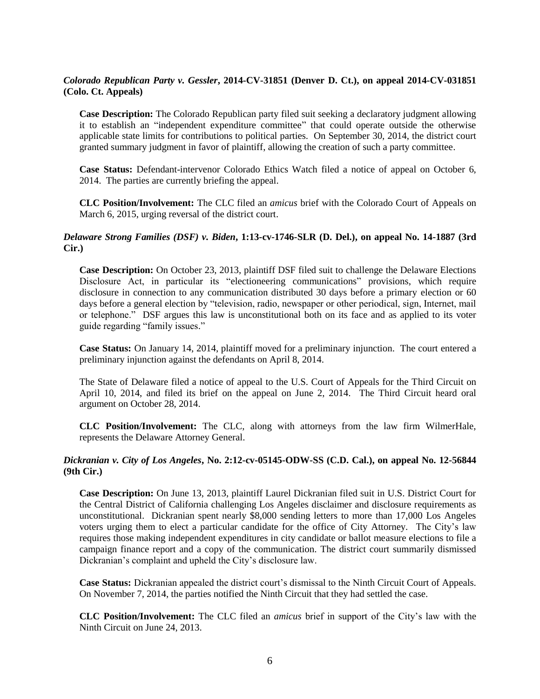# *Colorado Republican Party v. Gessler***, 2014-CV-31851 (Denver D. Ct.), on appeal 2014-CV-031851 (Colo. Ct. Appeals)**

**Case Description:** The Colorado Republican party filed suit seeking a declaratory judgment allowing it to establish an "independent expenditure committee" that could operate outside the otherwise applicable state limits for contributions to political parties. On September 30, 2014, the district court granted summary judgment in favor of plaintiff, allowing the creation of such a party committee.

**Case Status:** Defendant-intervenor Colorado Ethics Watch filed a notice of appeal on October 6, 2014. The parties are currently briefing the appeal.

**CLC Position/Involvement:** The CLC filed an *amicus* brief with the Colorado Court of Appeals on March 6, 2015, urging reversal of the district court.

#### *Delaware Strong Families (DSF) v. Biden***, 1:13-cv-1746-SLR (D. Del.), on appeal No. 14-1887 (3rd Cir.)**

**Case Description:** On October 23, 2013, plaintiff DSF filed suit to challenge the Delaware Elections Disclosure Act, in particular its "electioneering communications" provisions, which require disclosure in connection to any communication distributed 30 days before a primary election or 60 days before a general election by "television, radio, newspaper or other periodical, sign, Internet, mail or telephone." DSF argues this law is unconstitutional both on its face and as applied to its voter guide regarding "family issues."

**Case Status:** On January 14, 2014, plaintiff moved for a preliminary injunction. The court entered a preliminary injunction against the defendants on April 8, 2014.

The State of Delaware filed a notice of appeal to the U.S. Court of Appeals for the Third Circuit on April 10, 2014, and filed its brief on the appeal on June 2, 2014. The Third Circuit heard oral argument on October 28, 2014.

**CLC Position/Involvement:** The CLC, along with attorneys from the law firm WilmerHale, represents the Delaware Attorney General.

#### *Dickranian v. City of Los Angeles***, No. 2:12-cv-05145-ODW-SS (C.D. Cal.), on appeal No. 12-56844 (9th Cir.)**

**Case Description:** On June 13, 2013, plaintiff Laurel Dickranian filed suit in U.S. District Court for the Central District of California challenging Los Angeles disclaimer and disclosure requirements as unconstitutional. Dickranian spent nearly \$8,000 sending letters to more than 17,000 Los Angeles voters urging them to elect a particular candidate for the office of City Attorney. The City's law requires those making independent expenditures in city candidate or ballot measure elections to file a campaign finance report and a copy of the communication. The district court summarily dismissed Dickranian's complaint and upheld the City's disclosure law.

**Case Status:** Dickranian appealed the district court's dismissal to the Ninth Circuit Court of Appeals. On November 7, 2014, the parties notified the Ninth Circuit that they had settled the case.

**CLC Position/Involvement:** The CLC filed an *amicus* brief in support of the City's law with the Ninth Circuit on June 24, 2013.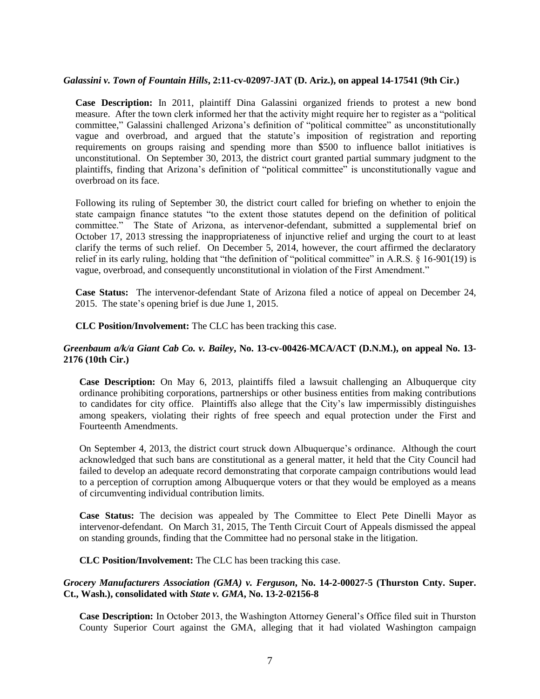# *Galassini v. Town of Fountain Hills***, 2:11-cv-02097-JAT (D. Ariz.), on appeal 14-17541 (9th Cir.)**

**Case Description:** In 2011, plaintiff Dina Galassini organized friends to protest a new bond measure. After the town clerk informed her that the activity might require her to register as a "political committee," Galassini challenged Arizona's definition of "political committee" as unconstitutionally vague and overbroad, and argued that the statute's imposition of registration and reporting requirements on groups raising and spending more than \$500 to influence ballot initiatives is unconstitutional. On September 30, 2013, the district court granted partial summary judgment to the plaintiffs, finding that Arizona's definition of "political committee" is unconstitutionally vague and overbroad on its face.

Following its ruling of September 30, the district court called for briefing on whether to enjoin the state campaign finance statutes "to the extent those statutes depend on the definition of political committee." The State of Arizona, as intervenor-defendant, submitted a supplemental brief on October 17, 2013 stressing the inappropriateness of injunctive relief and urging the court to at least clarify the terms of such relief. On December 5, 2014, however, the court affirmed the declaratory relief in its early ruling, holding that "the definition of "political committee" in A.R.S. § 16-901(19) is vague, overbroad, and consequently unconstitutional in violation of the First Amendment."

**Case Status:** The intervenor-defendant State of Arizona filed a notice of appeal on December 24, 2015. The state's opening brief is due June 1, 2015.

**CLC Position/Involvement:** The CLC has been tracking this case.

#### *Greenbaum a/k/a Giant Cab Co. v. Bailey***, No. 13-cv-00426-MCA/ACT (D.N.M.), on appeal No. 13- 2176 (10th Cir.)**

**Case Description:** On May 6, 2013, plaintiffs filed a lawsuit challenging an Albuquerque city ordinance prohibiting corporations, partnerships or other business entities from making contributions to candidates for city office. Plaintiffs also allege that the City's law impermissibly distinguishes among speakers, violating their rights of free speech and equal protection under the First and Fourteenth Amendments.

On September 4, 2013, the district court struck down Albuquerque's ordinance. Although the court acknowledged that such bans are constitutional as a general matter, it held that the City Council had failed to develop an adequate record demonstrating that corporate campaign contributions would lead to a perception of corruption among Albuquerque voters or that they would be employed as a means of circumventing individual contribution limits.

**Case Status:** The decision was appealed by The Committee to Elect Pete Dinelli Mayor as intervenor-defendant. On March 31, 2015, The Tenth Circuit Court of Appeals dismissed the appeal on standing grounds, finding that the Committee had no personal stake in the litigation.

**CLC Position/Involvement:** The CLC has been tracking this case.

#### *Grocery Manufacturers Association (GMA) v. Ferguson***, No. 14-2-00027-5 (Thurston Cnty. Super. Ct., Wash.), consolidated with** *State v. GMA***, No. 13-2-02156-8**

**Case Description:** In October 2013, the Washington Attorney General's Office filed suit in Thurston County Superior Court against the GMA, alleging that it had violated Washington campaign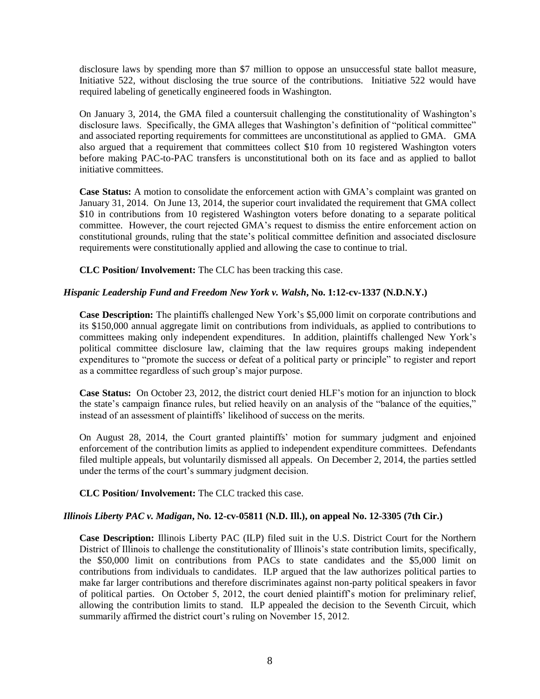disclosure laws by spending more than \$7 million to oppose an unsuccessful state ballot measure, Initiative 522, without disclosing the true source of the contributions. Initiative 522 would have required labeling of genetically engineered foods in Washington.

On January 3, 2014, the GMA filed a countersuit challenging the constitutionality of Washington's disclosure laws. Specifically, the GMA alleges that Washington's definition of "political committee" and associated reporting requirements for committees are unconstitutional as applied to GMA. GMA also argued that a requirement that committees collect \$10 from 10 registered Washington voters before making PAC-to-PAC transfers is unconstitutional both on its face and as applied to ballot initiative committees.

**Case Status:** A motion to consolidate the enforcement action with GMA's complaint was granted on January 31, 2014. On June 13, 2014, the superior court invalidated the requirement that GMA collect \$10 in contributions from 10 registered Washington voters before donating to a separate political committee. However, the court rejected GMA's request to dismiss the entire enforcement action on constitutional grounds, ruling that the state's political committee definition and associated disclosure requirements were constitutionally applied and allowing the case to continue to trial.

**CLC Position/ Involvement:** The CLC has been tracking this case.

# *Hispanic Leadership Fund and Freedom New York v. Walsh***, No. 1:12-cv-1337 (N.D.N.Y.)**

**Case Description:** The plaintiffs challenged New York's \$5,000 limit on corporate contributions and its \$150,000 annual aggregate limit on contributions from individuals, as applied to contributions to committees making only independent expenditures. In addition, plaintiffs challenged New York's political committee disclosure law, claiming that the law requires groups making independent expenditures to "promote the success or defeat of a political party or principle" to register and report as a committee regardless of such group's major purpose.

**Case Status:** On October 23, 2012, the district court denied HLF's motion for an injunction to block the state's campaign finance rules, but relied heavily on an analysis of the "balance of the equities," instead of an assessment of plaintiffs' likelihood of success on the merits.

On August 28, 2014, the Court granted plaintiffs' motion for summary judgment and enjoined enforcement of the contribution limits as applied to independent expenditure committees. Defendants filed multiple appeals, but voluntarily dismissed all appeals. On December 2, 2014, the parties settled under the terms of the court's summary judgment decision.

# **CLC Position/ Involvement:** The CLC tracked this case.

## *Illinois Liberty PAC v. Madigan***, No. 12-cv-05811 (N.D. Ill.), on appeal No. 12-3305 (7th Cir.)**

**Case Description:** Illinois Liberty PAC (ILP) filed suit in the U.S. District Court for the Northern District of Illinois to challenge the constitutionality of Illinois's state contribution limits, specifically, the \$50,000 limit on contributions from PACs to state candidates and the \$5,000 limit on contributions from individuals to candidates. ILP argued that the law authorizes political parties to make far larger contributions and therefore discriminates against non-party political speakers in favor of political parties. On October 5, 2012, the court denied plaintiff's motion for preliminary relief, allowing the contribution limits to stand. ILP appealed the decision to the Seventh Circuit, which summarily affirmed the district court's ruling on November 15, 2012.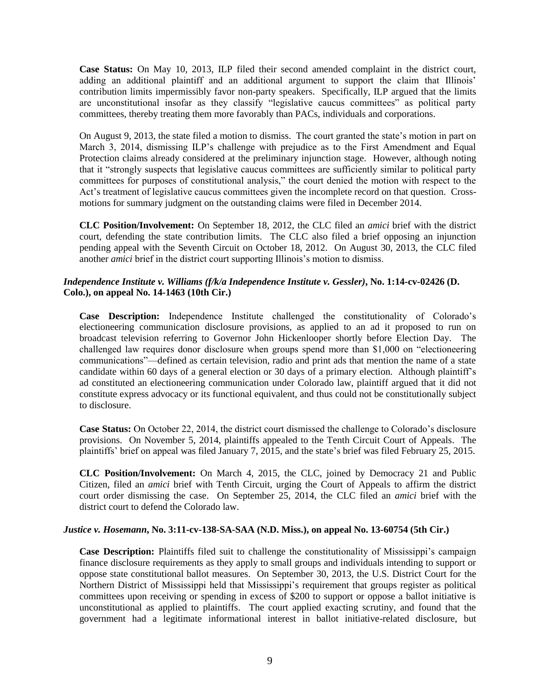**Case Status:** On May 10, 2013, ILP filed their second amended complaint in the district court, adding an additional plaintiff and an additional argument to support the claim that Illinois' contribution limits impermissibly favor non-party speakers. Specifically, ILP argued that the limits are unconstitutional insofar as they classify "legislative caucus committees" as political party committees, thereby treating them more favorably than PACs, individuals and corporations.

On August 9, 2013, the state filed a motion to dismiss. The court granted the state's motion in part on March 3, 2014, dismissing ILP's challenge with prejudice as to the First Amendment and Equal Protection claims already considered at the preliminary injunction stage. However, although noting that it "strongly suspects that legislative caucus committees are sufficiently similar to political party committees for purposes of constitutional analysis," the court denied the motion with respect to the Act's treatment of legislative caucus committees given the incomplete record on that question. Crossmotions for summary judgment on the outstanding claims were filed in December 2014.

**CLC Position/Involvement:** On September 18, 2012, the CLC filed an *amici* brief with the district court, defending the state contribution limits. The CLC also filed a brief opposing an injunction pending appeal with the Seventh Circuit on October 18, 2012. On August 30, 2013, the CLC filed another *amici* brief in the district court supporting Illinois's motion to dismiss.

# *Independence Institute v. Williams (f/k/a Independence Institute v. Gessler)***, No. 1:14-cv-02426 (D. Colo.), on appeal No. 14-1463 (10th Cir.)**

**Case Description:** Independence Institute challenged the constitutionality of Colorado's electioneering communication disclosure provisions, as applied to an ad it proposed to run on broadcast television referring to Governor John Hickenlooper shortly before Election Day. The challenged law requires donor disclosure when groups spend more than \$1,000 on "electioneering communications"—defined as certain television, radio and print ads that mention the name of a state candidate within 60 days of a general election or 30 days of a primary election. Although plaintiff's ad constituted an electioneering communication under Colorado law, plaintiff argued that it did not constitute express advocacy or its functional equivalent, and thus could not be constitutionally subject to disclosure.

**Case Status:** On October 22, 2014, the district court dismissed the challenge to Colorado's disclosure provisions. On November 5, 2014, plaintiffs appealed to the Tenth Circuit Court of Appeals. The plaintiffs' brief on appeal was filed January 7, 2015, and the state's brief was filed February 25, 2015.

**CLC Position/Involvement:** On March 4, 2015, the CLC, joined by Democracy 21 and Public Citizen, filed an *amici* brief with Tenth Circuit, urging the Court of Appeals to affirm the district court order dismissing the case. On September 25, 2014, the CLC filed an *amici* brief with the district court to defend the Colorado law.

## *Justice v. Hosemann***, No. 3:11-cv-138-SA-SAA (N.D. Miss.), on appeal No. 13-60754 (5th Cir.)**

**Case Description:** Plaintiffs filed suit to challenge the constitutionality of Mississippi's campaign finance disclosure requirements as they apply to small groups and individuals intending to support or oppose state constitutional ballot measures. On September 30, 2013, the U.S. District Court for the Northern District of Mississippi held that Mississippi's requirement that groups register as political committees upon receiving or spending in excess of \$200 to support or oppose a ballot initiative is unconstitutional as applied to plaintiffs. The court applied exacting scrutiny, and found that the government had a legitimate informational interest in ballot initiative-related disclosure, but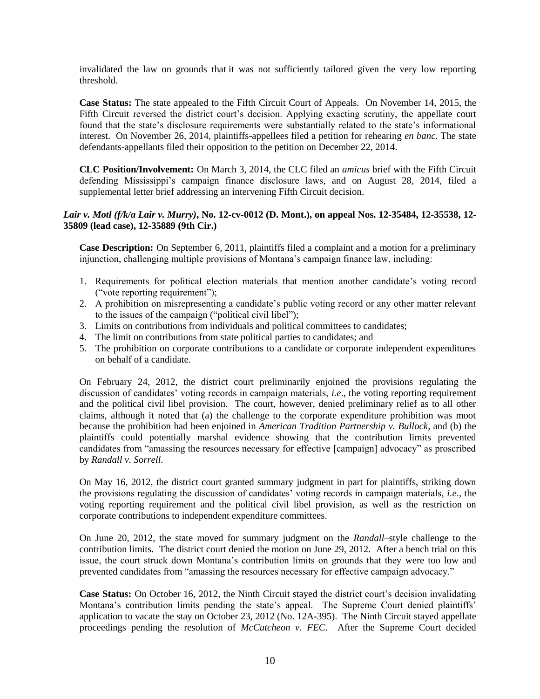invalidated the law on grounds that it was not sufficiently tailored given the very low reporting threshold.

**Case Status:** The state appealed to the Fifth Circuit Court of Appeals. On November 14, 2015, the Fifth Circuit reversed the district court's decision. Applying exacting scrutiny, the appellate court found that the state's disclosure requirements were substantially related to the state's informational interest. On November 26, 2014, plaintiffs-appellees filed a petition for rehearing *en banc*. The state defendants-appellants filed their opposition to the petition on December 22, 2014.

**CLC Position/Involvement:** On March 3, 2014, the CLC filed an *amicus* brief with the Fifth Circuit defending Mississippi's campaign finance disclosure laws, and on August 28, 2014, filed a supplemental letter brief addressing an intervening Fifth Circuit decision.

## *Lair v. Motl (f/k/a Lair v. Murry)***, No. 12-cv-0012 (D. Mont.), on appeal Nos. 12-35484, 12-35538, 12- 35809 (lead case), 12-35889 (9th Cir.)**

**Case Description:** On September 6, 2011, plaintiffs filed a complaint and a motion for a preliminary injunction, challenging multiple provisions of Montana's campaign finance law, including:

- 1. Requirements for political election materials that mention another candidate's voting record ("vote reporting requirement");
- 2. A prohibition on misrepresenting a candidate's public voting record or any other matter relevant to the issues of the campaign ("political civil libel");
- 3. Limits on contributions from individuals and political committees to candidates;
- 4. The limit on contributions from state political parties to candidates; and
- 5. The prohibition on corporate contributions to a candidate or corporate independent expenditures on behalf of a candidate.

On February 24, 2012, the district court preliminarily enjoined the provisions regulating the discussion of candidates' voting records in campaign materials, *i.e*., the voting reporting requirement and the political civil libel provision. The court, however, denied preliminary relief as to all other claims, although it noted that (a) the challenge to the corporate expenditure prohibition was moot because the prohibition had been enjoined in *American Tradition Partnership v. Bullock*, and (b) the plaintiffs could potentially marshal evidence showing that the contribution limits prevented candidates from "amassing the resources necessary for effective [campaign] advocacy" as proscribed by *Randall v. Sorrell*.

On May 16, 2012, the district court granted summary judgment in part for plaintiffs, striking down the provisions regulating the discussion of candidates' voting records in campaign materials, *i.e*., the voting reporting requirement and the political civil libel provision, as well as the restriction on corporate contributions to independent expenditure committees.

On June 20, 2012, the state moved for summary judgment on the *Randall*–style challenge to the contribution limits. The district court denied the motion on June 29, 2012. After a bench trial on this issue, the court struck down Montana's contribution limits on grounds that they were too low and prevented candidates from "amassing the resources necessary for effective campaign advocacy."

**Case Status:** On October 16, 2012, the Ninth Circuit stayed the district court's decision invalidating Montana's contribution limits pending the state's appeal. The Supreme Court denied plaintiffs' application to vacate the stay on October 23, 2012 (No. 12A-395). The Ninth Circuit stayed appellate proceedings pending the resolution of *McCutcheon v. FEC*. After the Supreme Court decided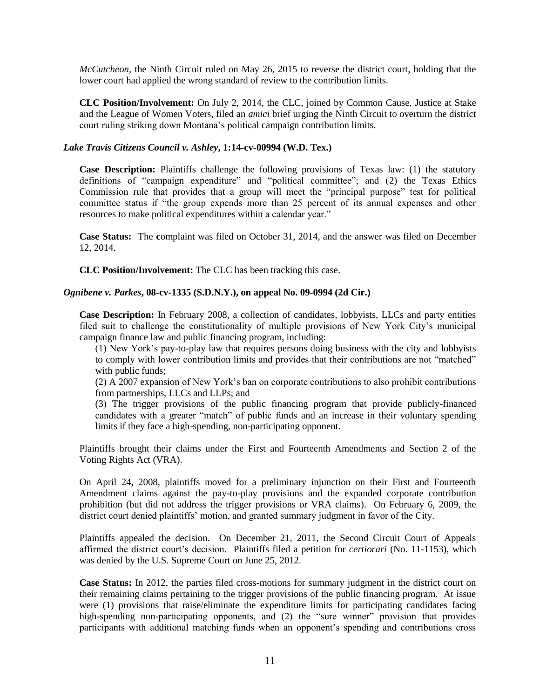*McCutcheon*, the Ninth Circuit ruled on May 26, 2015 to reverse the district court, holding that the lower court had applied the wrong standard of review to the contribution limits.

**CLC Position/Involvement:** On July 2, 2014, the CLC, joined by Common Cause, Justice at Stake and the League of Women Voters, filed an *amici* brief urging the Ninth Circuit to overturn the district court ruling striking down Montana's political campaign contribution limits.

#### *Lake Travis Citizens Council v. Ashley***, 1:14-cv-00994 (W.D. Tex.)**

**Case Description:** Plaintiffs challenge the following provisions of Texas law: (1) the statutory definitions of "campaign expenditure" and "political committee"; and (2) the Texas Ethics Commission rule that provides that a group will meet the "principal purpose" test for political committee status if "the group expends more than 25 percent of its annual expenses and other resources to make political expenditures within a calendar year."

**Case Status:** The **c**omplaint was filed on October 31, 2014, and the answer was filed on December 12, 2014.

**CLC Position/Involvement:** The CLC has been tracking this case.

#### *Ognibene v. Parkes***, 08-cv-1335 (S.D.N.Y.), on appeal No. 09-0994 (2d Cir.)**

**Case Description:** In February 2008, a collection of candidates, lobbyists, LLCs and party entities filed suit to challenge the constitutionality of multiple provisions of New York City's municipal campaign finance law and public financing program, including:

(1) New York's pay-to-play law that requires persons doing business with the city and lobbyists to comply with lower contribution limits and provides that their contributions are not "matched" with public funds;

(2) A 2007 expansion of New York's ban on corporate contributions to also prohibit contributions from partnerships, LLCs and LLPs; and

(3) The trigger provisions of the public financing program that provide publicly-financed candidates with a greater "match" of public funds and an increase in their voluntary spending limits if they face a high-spending, non-participating opponent.

Plaintiffs brought their claims under the First and Fourteenth Amendments and Section 2 of the Voting Rights Act (VRA).

On April 24, 2008, plaintiffs moved for a preliminary injunction on their First and Fourteenth Amendment claims against the pay-to-play provisions and the expanded corporate contribution prohibition (but did not address the trigger provisions or VRA claims). On February 6, 2009, the district court denied plaintiffs' motion, and granted summary judgment in favor of the City.

Plaintiffs appealed the decision. On December 21, 2011, the Second Circuit Court of Appeals affirmed the district court's decision. Plaintiffs filed a petition for *certiorari* (No. 11-1153), which was denied by the U.S. Supreme Court on June 25, 2012.

**Case Status:** In 2012, the parties filed cross-motions for summary judgment in the district court on their remaining claims pertaining to the trigger provisions of the public financing program. At issue were (1) provisions that raise/eliminate the expenditure limits for participating candidates facing high-spending non-participating opponents, and (2) the "sure winner" provision that provides participants with additional matching funds when an opponent's spending and contributions cross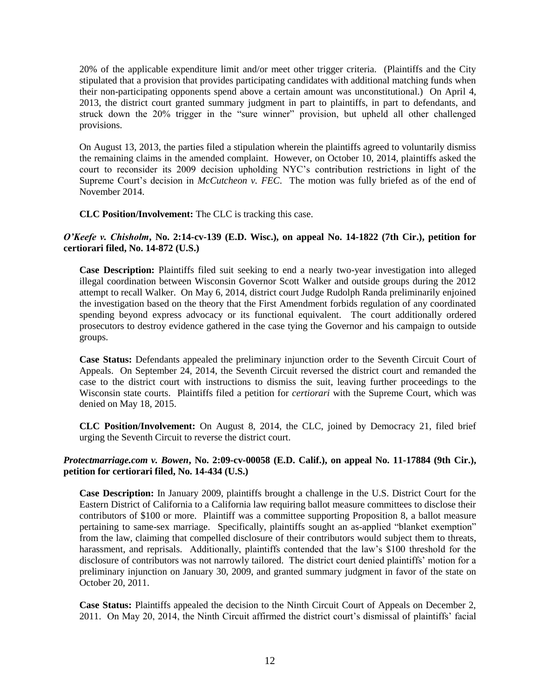20% of the applicable expenditure limit and/or meet other trigger criteria. (Plaintiffs and the City stipulated that a provision that provides participating candidates with additional matching funds when their non-participating opponents spend above a certain amount was unconstitutional.) On April 4, 2013, the district court granted summary judgment in part to plaintiffs, in part to defendants, and struck down the 20% trigger in the "sure winner" provision, but upheld all other challenged provisions.

On August 13, 2013, the parties filed a stipulation wherein the plaintiffs agreed to voluntarily dismiss the remaining claims in the amended complaint. However, on October 10, 2014, plaintiffs asked the court to reconsider its 2009 decision upholding NYC's contribution restrictions in light of the Supreme Court's decision in *McCutcheon v. FEC*. The motion was fully briefed as of the end of November 2014.

## **CLC Position/Involvement:** The CLC is tracking this case.

## *O'Keefe v. Chisholm***, No. 2:14-cv-139 (E.D. Wisc.), on appeal No. 14-1822 (7th Cir.), petition for certiorari filed, No. 14-872 (U.S.)**

**Case Description:** Plaintiffs filed suit seeking to end a nearly two-year investigation into alleged illegal coordination between Wisconsin Governor Scott Walker and outside groups during the 2012 attempt to recall Walker. On May 6, 2014, district court Judge Rudolph Randa preliminarily enjoined the investigation based on the theory that the First Amendment forbids regulation of any coordinated spending beyond express advocacy or its functional equivalent. The court additionally ordered prosecutors to destroy evidence gathered in the case tying the Governor and his campaign to outside groups.

**Case Status:** Defendants appealed the preliminary injunction order to the Seventh Circuit Court of Appeals. On September 24, 2014, the Seventh Circuit reversed the district court and remanded the case to the district court with instructions to dismiss the suit, leaving further proceedings to the Wisconsin state courts. Plaintiffs filed a petition for *certiorari* with the Supreme Court, which was denied on May 18, 2015.

**CLC Position/Involvement:** On August 8, 2014, the CLC, joined by Democracy 21, filed brief urging the Seventh Circuit to reverse the district court.

## *Protectmarriage.com v. Bowen***, No. 2:09-cv-00058 (E.D. Calif.), on appeal No. 11-17884 (9th Cir.), petition for certiorari filed, No. 14-434 (U.S.)**

**Case Description:** In January 2009, plaintiffs brought a challenge in the U.S. District Court for the Eastern District of California to a California law requiring ballot measure committees to disclose their contributors of \$100 or more. Plaintiff was a committee supporting Proposition 8, a ballot measure pertaining to same-sex marriage. Specifically, plaintiffs sought an as-applied "blanket exemption" from the law, claiming that compelled disclosure of their contributors would subject them to threats, harassment, and reprisals. Additionally, plaintiffs contended that the law's \$100 threshold for the disclosure of contributors was not narrowly tailored. The district court denied plaintiffs' motion for a preliminary injunction on January 30, 2009, and granted summary judgment in favor of the state on October 20, 2011.

**Case Status:** Plaintiffs appealed the decision to the Ninth Circuit Court of Appeals on December 2, 2011. On May 20, 2014, the Ninth Circuit affirmed the district court's dismissal of plaintiffs' facial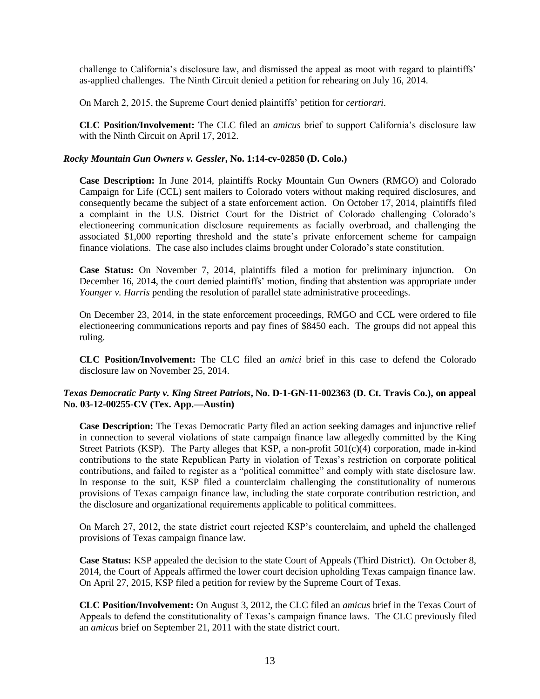challenge to California's disclosure law, and dismissed the appeal as moot with regard to plaintiffs' as-applied challenges. The Ninth Circuit denied a petition for rehearing on July 16, 2014.

On March 2, 2015, the Supreme Court denied plaintiffs' petition for *certiorari*.

**CLC Position/Involvement:** The CLC filed an *amicus* brief to support California's disclosure law with the Ninth Circuit on April 17, 2012.

# *Rocky Mountain Gun Owners v. Gessler***, No. 1:14-cv-02850 (D. Colo.)**

**Case Description:** In June 2014, plaintiffs Rocky Mountain Gun Owners (RMGO) and Colorado Campaign for Life (CCL) sent mailers to Colorado voters without making required disclosures, and consequently became the subject of a state enforcement action. On October 17, 2014, plaintiffs filed a complaint in the U.S. District Court for the District of Colorado challenging Colorado's electioneering communication disclosure requirements as facially overbroad, and challenging the associated \$1,000 reporting threshold and the state's private enforcement scheme for campaign finance violations. The case also includes claims brought under Colorado's state constitution.

**Case Status:** On November 7, 2014, plaintiffs filed a motion for preliminary injunction. On December 16, 2014, the court denied plaintiffs' motion, finding that abstention was appropriate under *Younger v. Harris* pending the resolution of parallel state administrative proceedings.

On December 23, 2014, in the state enforcement proceedings, RMGO and CCL were ordered to file electioneering communications reports and pay fines of \$8450 each. The groups did not appeal this ruling.

**CLC Position/Involvement:** The CLC filed an *amici* brief in this case to defend the Colorado disclosure law on November 25, 2014.

## *Texas Democratic Party v. King Street Patriots***, No. D-1-GN-11-002363 (D. Ct. Travis Co.), on appeal No. 03-12-00255-CV (Tex. App.—Austin)**

**Case Description:** The Texas Democratic Party filed an action seeking damages and injunctive relief in connection to several violations of state campaign finance law allegedly committed by the King Street Patriots (KSP). The Party alleges that KSP, a non-profit  $501(c)(4)$  corporation, made in-kind contributions to the state Republican Party in violation of Texas's restriction on corporate political contributions, and failed to register as a "political committee" and comply with state disclosure law. In response to the suit, KSP filed a counterclaim challenging the constitutionality of numerous provisions of Texas campaign finance law, including the state corporate contribution restriction, and the disclosure and organizational requirements applicable to political committees.

On March 27, 2012, the state district court rejected KSP's counterclaim, and upheld the challenged provisions of Texas campaign finance law.

**Case Status:** KSP appealed the decision to the state Court of Appeals (Third District). On October 8, 2014, the Court of Appeals affirmed the lower court decision upholding Texas campaign finance law. On April 27, 2015, KSP filed a petition for review by the Supreme Court of Texas.

**CLC Position/Involvement:** On August 3, 2012, the CLC filed an *amicus* brief in the Texas Court of Appeals to defend the constitutionality of Texas's campaign finance laws. The CLC previously filed an *amicus* brief on September 21, 2011 with the state district court.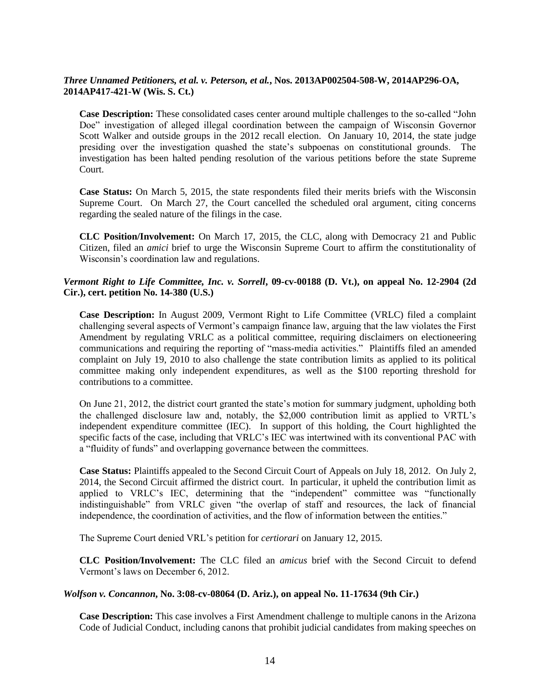# *Three Unnamed Petitioners, et al. v. Peterson, et al.***, Nos. 2013AP002504-508-W, 2014AP296-OA, 2014AP417-421-W (Wis. S. Ct.)**

**Case Description:** These consolidated cases center around multiple challenges to the so-called "John Doe" investigation of alleged illegal coordination between the campaign of Wisconsin Governor Scott Walker and outside groups in the 2012 recall election. On January 10, 2014, the state judge presiding over the investigation quashed the state's subpoenas on constitutional grounds. The investigation has been halted pending resolution of the various petitions before the state Supreme Court.

**Case Status:** On March 5, 2015, the state respondents filed their merits briefs with the Wisconsin Supreme Court. On March 27, the Court cancelled the scheduled oral argument, citing concerns regarding the sealed nature of the filings in the case.

**CLC Position/Involvement:** On March 17, 2015, the CLC, along with Democracy 21 and Public Citizen, filed an *amici* brief to urge the Wisconsin Supreme Court to affirm the constitutionality of Wisconsin's coordination law and regulations.

## *Vermont Right to Life Committee, Inc. v. Sorrell***, 09-cv-00188 (D. Vt.), on appeal No. 12-2904 (2d Cir.), cert. petition No. 14-380 (U.S.)**

**Case Description:** In August 2009, Vermont Right to Life Committee (VRLC) filed a complaint challenging several aspects of Vermont's campaign finance law, arguing that the law violates the First Amendment by regulating VRLC as a political committee, requiring disclaimers on electioneering communications and requiring the reporting of "mass-media activities." Plaintiffs filed an amended complaint on July 19, 2010 to also challenge the state contribution limits as applied to its political committee making only independent expenditures, as well as the \$100 reporting threshold for contributions to a committee.

On June 21, 2012, the district court granted the state's motion for summary judgment, upholding both the challenged disclosure law and, notably, the \$2,000 contribution limit as applied to VRTL's independent expenditure committee (IEC). In support of this holding, the Court highlighted the specific facts of the case, including that VRLC's IEC was intertwined with its conventional PAC with a "fluidity of funds" and overlapping governance between the committees.

**Case Status:** Plaintiffs appealed to the Second Circuit Court of Appeals on July 18, 2012. On July 2, 2014, the Second Circuit affirmed the district court. In particular, it upheld the contribution limit as applied to VRLC's IEC, determining that the "independent" committee was "functionally indistinguishable" from VRLC given "the overlap of staff and resources, the lack of financial independence, the coordination of activities, and the flow of information between the entities."

The Supreme Court denied VRL's petition for *certiorari* on January 12, 2015.

**CLC Position/Involvement:** The CLC filed an *amicus* brief with the Second Circuit to defend Vermont's laws on December 6, 2012.

## *Wolfson v. Concannon***, No. 3:08-cv-08064 (D. Ariz.), on appeal No. 11-17634 (9th Cir.)**

**Case Description:** This case involves a First Amendment challenge to multiple canons in the Arizona Code of Judicial Conduct, including canons that prohibit judicial candidates from making speeches on